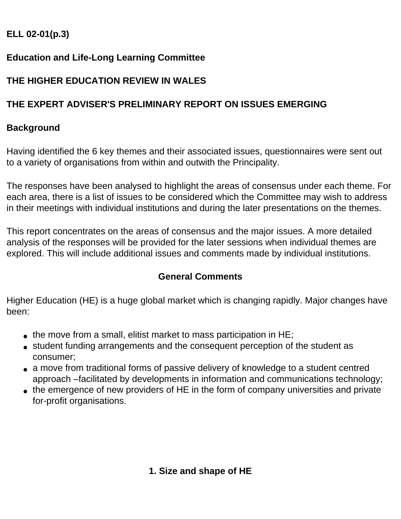## **ELL 02-01(p.3)**

## **Education and Life-Long Learning Committee**

## **THE HIGHER EDUCATION REVIEW IN WALES**

## **THE EXPERT ADVISER'S PRELIMINARY REPORT ON ISSUES EMERGING**

## **Background**

Having identified the 6 key themes and their associated issues, questionnaires were sent out to a variety of organisations from within and outwith the Principality.

The responses have been analysed to highlight the areas of consensus under each theme. For each area, there is a list of issues to be considered which the Committee may wish to address in their meetings with individual institutions and during the later presentations on the themes.

This report concentrates on the areas of consensus and the major issues. A more detailed analysis of the responses will be provided for the later sessions when individual themes are explored. This will include additional issues and comments made by individual institutions.

## **General Comments**

Higher Education (HE) is a huge global market which is changing rapidly. Major changes have been:

- $\bullet$  the move from a small, elitist market to mass participation in HE;
- student funding arrangements and the consequent perception of the student as consumer;
- a move from traditional forms of passive delivery of knowledge to a student centred approach –facilitated by developments in information and communications technology;
- the emergence of new providers of HE in the form of company universities and private for-profit organisations.

# **1. Size and shape of HE**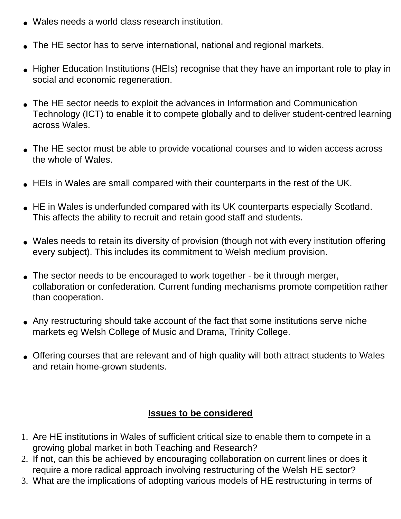- Wales needs a world class research institution.
- The HE sector has to serve international, national and regional markets.
- Higher Education Institutions (HEIs) recognise that they have an important role to play in social and economic regeneration.
- The HE sector needs to exploit the advances in Information and Communication Technology (ICT) to enable it to compete globally and to deliver student-centred learning across Wales.
- The HE sector must be able to provide vocational courses and to widen access across the whole of Wales.
- HEIs in Wales are small compared with their counterparts in the rest of the UK.
- HE in Wales is underfunded compared with its UK counterparts especially Scotland. This affects the ability to recruit and retain good staff and students.
- Wales needs to retain its diversity of provision (though not with every institution offering every subject). This includes its commitment to Welsh medium provision.
- The sector needs to be encouraged to work together be it through merger, collaboration or confederation. Current funding mechanisms promote competition rather than cooperation.
- Any restructuring should take account of the fact that some institutions serve niche markets eg Welsh College of Music and Drama, Trinity College.
- Offering courses that are relevant and of high quality will both attract students to Wales and retain home-grown students.

## **Issues to be considered**

- 1. Are HE institutions in Wales of sufficient critical size to enable them to compete in a growing global market in both Teaching and Research?
- 2. If not, can this be achieved by encouraging collaboration on current lines or does it require a more radical approach involving restructuring of the Welsh HE sector?
- 3. What are the implications of adopting various models of HE restructuring in terms of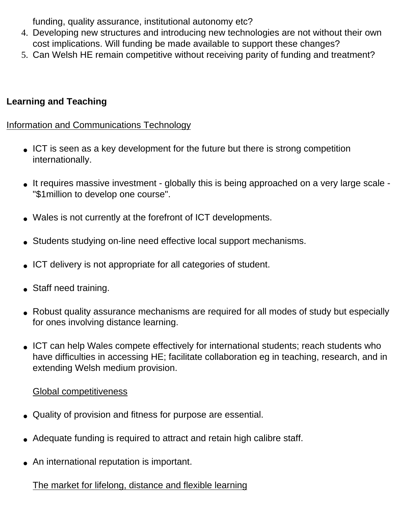funding, quality assurance, institutional autonomy etc?

- 4. Developing new structures and introducing new technologies are not without their own cost implications. Will funding be made available to support these changes?
- 5. Can Welsh HE remain competitive without receiving parity of funding and treatment?

## **Learning and Teaching**

#### Information and Communications Technology

- ICT is seen as a key development for the future but there is strong competition internationally.
- It requires massive investment globally this is being approached on a very large scale "\$1million to develop one course".
- Wales is not currently at the forefront of ICT developments.
- Students studying on-line need effective local support mechanisms.
- ICT delivery is not appropriate for all categories of student.
- Staff need training.
- Robust quality assurance mechanisms are required for all modes of study but especially for ones involving distance learning.
- ICT can help Wales compete effectively for international students; reach students who have difficulties in accessing HE; facilitate collaboration eg in teaching, research, and in extending Welsh medium provision.

#### Global competitiveness

- Quality of provision and fitness for purpose are essential.
- Adequate funding is required to attract and retain high calibre staff.
- An international reputation is important.

# The market for lifelong, distance and flexible learning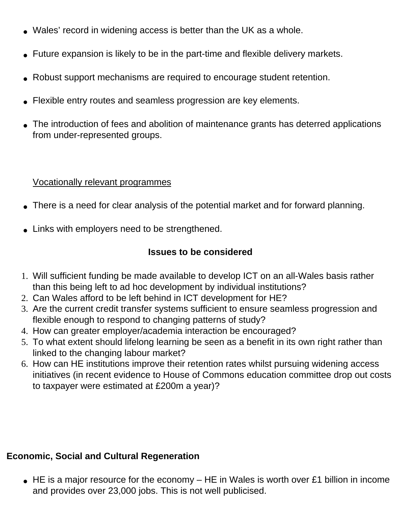- Wales' record in widening access is better than the UK as a whole.
- Future expansion is likely to be in the part-time and flexible delivery markets.
- Robust support mechanisms are required to encourage student retention.
- Flexible entry routes and seamless progression are key elements.
- The introduction of fees and abolition of maintenance grants has deterred applications from under-represented groups.

#### Vocationally relevant programmes

- There is a need for clear analysis of the potential market and for forward planning.
- Links with employers need to be strengthened.

## **Issues to be considered**

- 1. Will sufficient funding be made available to develop ICT on an all-Wales basis rather than this being left to ad hoc development by individual institutions?
- 2. Can Wales afford to be left behind in ICT development for HE?
- 3. Are the current credit transfer systems sufficient to ensure seamless progression and flexible enough to respond to changing patterns of study?
- 4. How can greater employer/academia interaction be encouraged?
- 5. To what extent should lifelong learning be seen as a benefit in its own right rather than linked to the changing labour market?
- 6. How can HE institutions improve their retention rates whilst pursuing widening access initiatives (in recent evidence to House of Commons education committee drop out costs to taxpayer were estimated at £200m a year)?

## **Economic, Social and Cultural Regeneration**

 $\bullet$  HE is a major resource for the economy – HE in Wales is worth over £1 billion in income and provides over 23,000 jobs. This is not well publicised.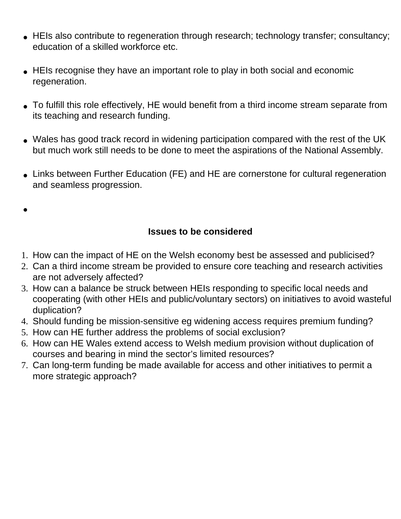- HEIs also contribute to regeneration through research; technology transfer; consultancy; education of a skilled workforce etc.
- HEIs recognise they have an important role to play in both social and economic regeneration.
- To fulfill this role effectively, HE would benefit from a third income stream separate from its teaching and research funding.
- Wales has good track record in widening participation compared with the rest of the UK but much work still needs to be done to meet the aspirations of the National Assembly.
- Links between Further Education (FE) and HE are cornerstone for cultural regeneration and seamless progression.

●

## **Issues to be considered**

- 1. How can the impact of HE on the Welsh economy best be assessed and publicised?
- 2. Can a third income stream be provided to ensure core teaching and research activities are not adversely affected?
- 3. How can a balance be struck between HEIs responding to specific local needs and cooperating (with other HEIs and public/voluntary sectors) on initiatives to avoid wasteful duplication?
- 4. Should funding be mission-sensitive eg widening access requires premium funding?
- 5. How can HE further address the problems of social exclusion?
- 6. How can HE Wales extend access to Welsh medium provision without duplication of courses and bearing in mind the sector's limited resources?
- 7. Can long-term funding be made available for access and other initiatives to permit a more strategic approach?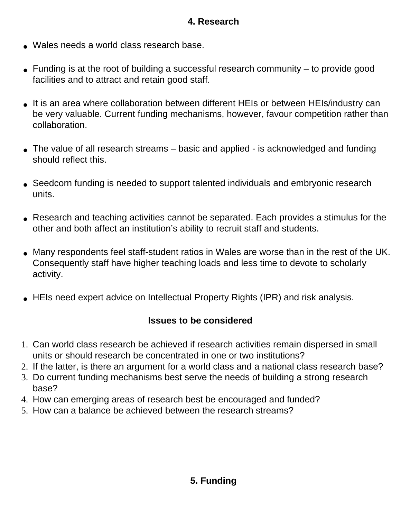## **4. Research**

- Wales needs a world class research base.
- $\bullet$  Funding is at the root of building a successful research community  $-$  to provide good facilities and to attract and retain good staff.
- It is an area where collaboration between different HEIs or between HEIs/industry can be very valuable. Current funding mechanisms, however, favour competition rather than collaboration.
- The value of all research streams basic and applied is acknowledged and funding should reflect this.
- Seedcorn funding is needed to support talented individuals and embryonic research units.
- Research and teaching activities cannot be separated. Each provides a stimulus for the other and both affect an institution's ability to recruit staff and students.
- Many respondents feel staff-student ratios in Wales are worse than in the rest of the UK. Consequently staff have higher teaching loads and less time to devote to scholarly activity.
- HEIs need expert advice on Intellectual Property Rights (IPR) and risk analysis.

#### **Issues to be considered**

- 1. Can world class research be achieved if research activities remain dispersed in small units or should research be concentrated in one or two institutions?
- 2. If the latter, is there an argument for a world class and a national class research base?
- 3. Do current funding mechanisms best serve the needs of building a strong research base?
- 4. How can emerging areas of research best be encouraged and funded?
- 5. How can a balance be achieved between the research streams?

# **5. Funding**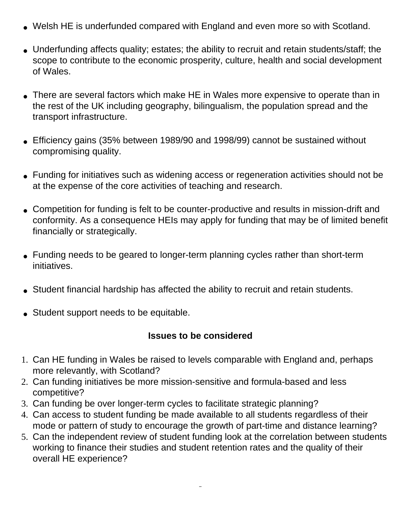- Welsh HE is underfunded compared with England and even more so with Scotland.
- Underfunding affects quality; estates; the ability to recruit and retain students/staff; the scope to contribute to the economic prosperity, culture, health and social development of Wales.
- There are several factors which make HE in Wales more expensive to operate than in the rest of the UK including geography, bilingualism, the population spread and the transport infrastructure.
- Efficiency gains (35% between 1989/90 and 1998/99) cannot be sustained without compromising quality.
- Funding for initiatives such as widening access or regeneration activities should not be at the expense of the core activities of teaching and research.
- Competition for funding is felt to be counter-productive and results in mission-drift and conformity. As a consequence HEIs may apply for funding that may be of limited benefit financially or strategically.
- Funding needs to be geared to longer-term planning cycles rather than short-term initiatives.
- Student financial hardship has affected the ability to recruit and retain students.
- Student support needs to be equitable.

#### **Issues to be considered**

- 1. Can HE funding in Wales be raised to levels comparable with England and, perhaps more relevantly, with Scotland?
- 2. Can funding initiatives be more mission-sensitive and formula-based and less competitive?
- 3. Can funding be over longer-term cycles to facilitate strategic planning?
- 4. Can access to student funding be made available to all students regardless of their mode or pattern of study to encourage the growth of part-time and distance learning?
- 5. Can the independent review of student funding look at the correlation between students working to finance their studies and student retention rates and the quality of their overall HE experience?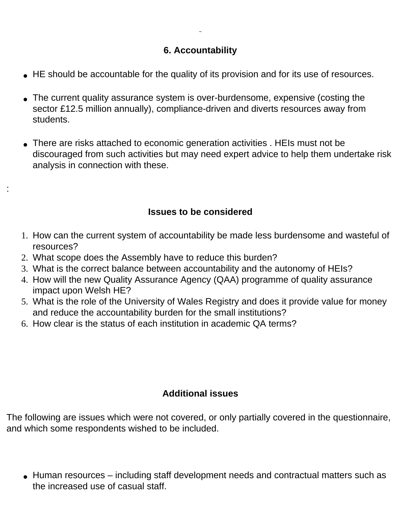#### **6. Accountability**

- HE should be accountable for the quality of its provision and for its use of resources.
- The current quality assurance system is over-burdensome, expensive (costing the sector £12.5 million annually), compliance-driven and diverts resources away from students.
- There are risks attached to economic generation activities . HEIs must not be discouraged from such activities but may need expert advice to help them undertake risk analysis in connection with these.

#### **Issues to be considered**

- 1. How can the current system of accountability be made less burdensome and wasteful of resources?
- 2. What scope does the Assembly have to reduce this burden?

:

- 3. What is the correct balance between accountability and the autonomy of HEIs?
- 4. How will the new Quality Assurance Agency (QAA) programme of quality assurance impact upon Welsh HE?
- 5. What is the role of the University of Wales Registry and does it provide value for money and reduce the accountability burden for the small institutions?
- 6. How clear is the status of each institution in academic QA terms?

#### **Additional issues**

The following are issues which were not covered, or only partially covered in the questionnaire, and which some respondents wished to be included.

• Human resources – including staff development needs and contractual matters such as the increased use of casual staff.